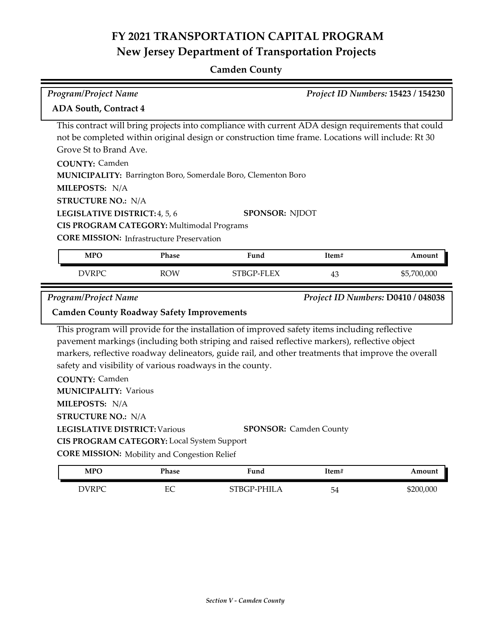## **Camden County**

| <b>Program/Project Name</b>                                                                                                                                                                                                                                                                                                                                                                                                                                                                                                          |                                                                                                   |                                                                                                                                                                                                                                                                                                                                     |       | Project ID Numbers: 15423 / 154230 |  |  |  |
|--------------------------------------------------------------------------------------------------------------------------------------------------------------------------------------------------------------------------------------------------------------------------------------------------------------------------------------------------------------------------------------------------------------------------------------------------------------------------------------------------------------------------------------|---------------------------------------------------------------------------------------------------|-------------------------------------------------------------------------------------------------------------------------------------------------------------------------------------------------------------------------------------------------------------------------------------------------------------------------------------|-------|------------------------------------|--|--|--|
|                                                                                                                                                                                                                                                                                                                                                                                                                                                                                                                                      | <b>ADA South, Contract 4</b>                                                                      |                                                                                                                                                                                                                                                                                                                                     |       |                                    |  |  |  |
| This contract will bring projects into compliance with current ADA design requirements that could<br>not be completed within original design or construction time frame. Locations will include: Rt 30<br>Grove St to Brand Ave.<br><b>COUNTY: Camden</b><br>MUNICIPALITY: Barrington Boro, Somerdale Boro, Clementon Boro<br>MILEPOSTS: N/A<br><b>STRUCTURE NO.: N/A</b><br>LEGISLATIVE DISTRICT: 4, 5, 6<br><b>SPONSOR: NJDOT</b><br>CIS PROGRAM CATEGORY: Multimodal Programs<br><b>CORE MISSION:</b> Infrastructure Preservation |                                                                                                   |                                                                                                                                                                                                                                                                                                                                     |       |                                    |  |  |  |
| <b>MPO</b>                                                                                                                                                                                                                                                                                                                                                                                                                                                                                                                           | <b>Phase</b>                                                                                      | Fund                                                                                                                                                                                                                                                                                                                                | Item# | Amount                             |  |  |  |
| <b>DVRPC</b>                                                                                                                                                                                                                                                                                                                                                                                                                                                                                                                         | <b>ROW</b>                                                                                        | STBGP-FLEX                                                                                                                                                                                                                                                                                                                          |       |                                    |  |  |  |
|                                                                                                                                                                                                                                                                                                                                                                                                                                                                                                                                      |                                                                                                   |                                                                                                                                                                                                                                                                                                                                     | 43    | \$5,700,000                        |  |  |  |
| <b>Program/Project Name</b><br><b>Camden County Roadway Safety Improvements</b>                                                                                                                                                                                                                                                                                                                                                                                                                                                      |                                                                                                   |                                                                                                                                                                                                                                                                                                                                     |       | Project ID Numbers: D0410 / 048038 |  |  |  |
| safety and visibility of various roadways in the county.<br><b>COUNTY: Camden</b><br><b>MUNICIPALITY: Various</b><br>MILEPOSTS: N/A<br><b>STRUCTURE NO.: N/A</b><br><b>LEGISLATIVE DISTRICT: Various</b>                                                                                                                                                                                                                                                                                                                             | CIS PROGRAM CATEGORY: Local System Support<br><b>CORE MISSION:</b> Mobility and Congestion Relief | This program will provide for the installation of improved safety items including reflective<br>pavement markings (including both striping and raised reflective markers), reflective object<br>markers, reflective roadway delineators, guide rail, and other treatments that improve the overall<br><b>SPONSOR:</b> Camden County |       |                                    |  |  |  |

| MPO  | Phase | Funa                                                   | Item#                                | Amount    |
|------|-------|--------------------------------------------------------|--------------------------------------|-----------|
| WRPC | EС    | <b>PHILA</b><br>$\pm$ DV =<br>$\overline{\phantom{0}}$ | $\overline{\phantom{a}}$<br>h.<br>◡± | \$200,000 |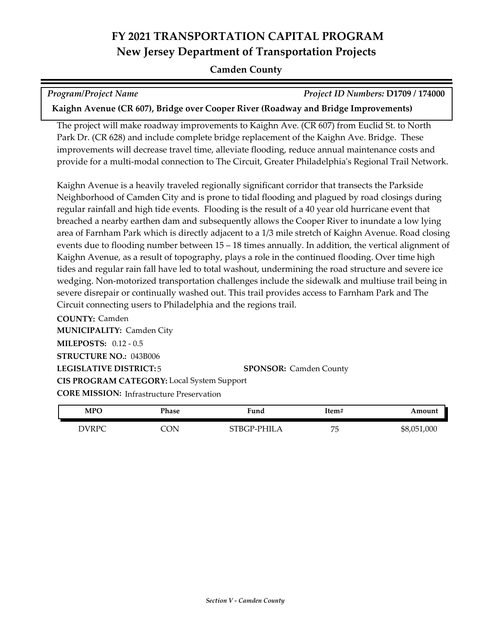#### **Camden County**

*Program/Project Name Project ID Numbers:* **D1709 / 174000**

**Kaighn Avenue (CR 607), Bridge over Cooper River (Roadway and Bridge Improvements)**

The project will make roadway improvements to Kaighn Ave. (CR 607) from Euclid St. to North Park Dr. (CR 628) and include complete bridge replacement of the Kaighn Ave. Bridge. These improvements will decrease travel time, alleviate flooding, reduce annual maintenance costs and provide for a multi-modal connection to The Circuit, Greater Philadelphia's Regional Trail Network.

Kaighn Avenue is a heavily traveled regionally significant corridor that transects the Parkside Neighborhood of Camden City and is prone to tidal flooding and plagued by road closings during regular rainfall and high tide events. Flooding is the result of a 40 year old hurricane event that breached a nearby earthen dam and subsequently allows the Cooper River to inundate a low lying area of Farnham Park which is directly adjacent to a 1/3 mile stretch of Kaighn Avenue. Road closing events due to flooding number between 15 – 18 times annually. In addition, the vertical alignment of Kaighn Avenue, as a result of topography, plays a role in the continued flooding. Over time high tides and regular rain fall have led to total washout, undermining the road structure and severe ice wedging. Non-motorized transportation challenges include the sidewalk and multiuse trail being in severe disrepair or continually washed out. This trail provides access to Farnham Park and The Circuit connecting users to Philadelphia and the regions trail.

**COUNTY:** Camden **LEGISLATIVE DISTRICT:** 5 **MILEPOSTS:** 0.12 - 0.5 **STRUCTURE NO.:** 043B006 **MUNICIPALITY: Camden City CORE MISSION:** Infrastructure Preservation **SPONSOR:** Camden County **CIS PROGRAM CATEGORY:** Local System Support

| MPO          | Phase | Fund        | Item#   | Amount      |
|--------------|-------|-------------|---------|-------------|
| <b>DVRPC</b> | CON   | STBGP-PHILA | 75<br>◡ | \$8,051,000 |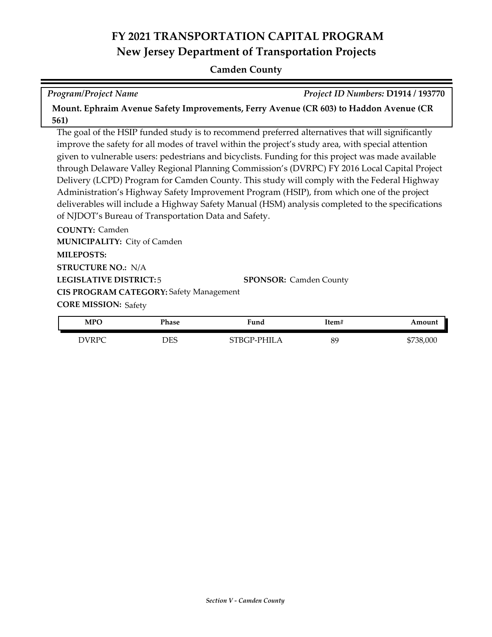#### **Camden County**

*Program/Project Name Project ID Numbers:* **D1914 / 193770**

**Mount. Ephraim Avenue Safety Improvements, Ferry Avenue (CR 603) to Haddon Avenue (CR 561)**

The goal of the HSIP funded study is to recommend preferred alternatives that will significantly improve the safety for all modes of travel within the project's study area, with special attention given to vulnerable users: pedestrians and bicyclists. Funding for this project was made available through Delaware Valley Regional Planning Commission's (DVRPC) FY 2016 Local Capital Project Delivery (LCPD) Program for Camden County. This study will comply with the Federal Highway Administration's Highway Safety Improvement Program (HSIP), from which one of the project deliverables will include a Highway Safety Manual (HSM) analysis completed to the specifications of NJDOT's Bureau of Transportation Data and Safety.

**COUNTY:** Camden **LEGISLATIVE DISTRICT:** 5 **MILEPOSTS: STRUCTURE NO.:** N/A **MUNICIPALITY: City of Camden CORE MISSION: Safety SPONSOR:** Camden County **CIS PROGRAM CATEGORY:** Safety Management

| <b>MPO</b> | Phase      | Fund        | Item# | Amount    |
|------------|------------|-------------|-------|-----------|
| DVRPC      | <b>DES</b> | STBGP-PHILA | 89    | \$738,000 |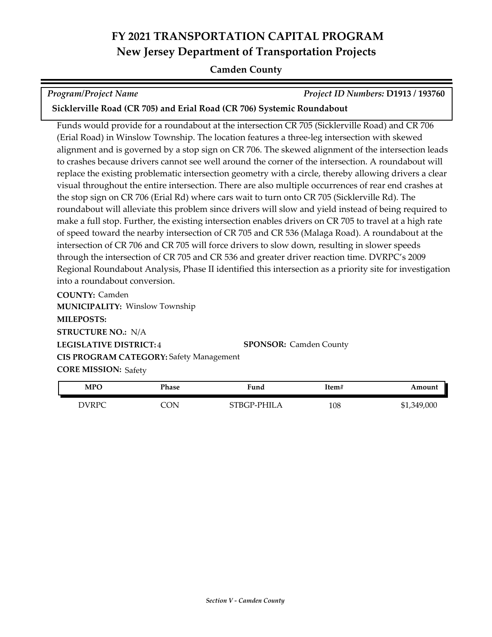#### **Camden County**

|  | <b>Program/Project Name</b> |
|--|-----------------------------|
|--|-----------------------------|

*Program/Project Name Project ID Numbers:* **D1913 / 193760**

**Sicklerville Road (CR 705) and Erial Road (CR 706) Systemic Roundabout**

Funds would provide for a roundabout at the intersection CR 705 (Sicklerville Road) and CR 706 (Erial Road) in Winslow Township. The location features a three-leg intersection with skewed alignment and is governed by a stop sign on CR 706. The skewed alignment of the intersection leads to crashes because drivers cannot see well around the corner of the intersection. A roundabout will replace the existing problematic intersection geometry with a circle, thereby allowing drivers a clear visual throughout the entire intersection. There are also multiple occurrences of rear end crashes at the stop sign on CR 706 (Erial Rd) where cars wait to turn onto CR 705 (Sicklerville Rd). The roundabout will alleviate this problem since drivers will slow and yield instead of being required to make a full stop. Further, the existing intersection enables drivers on CR 705 to travel at a high rate of speed toward the nearby intersection of CR 705 and CR 536 (Malaga Road). A roundabout at the intersection of CR 706 and CR 705 will force drivers to slow down, resulting in slower speeds through the intersection of CR 705 and CR 536 and greater driver reaction time. DVRPC's 2009 Regional Roundabout Analysis, Phase II identified this intersection as a priority site for investigation into a roundabout conversion.

**COUNTY:** Camden **LEGISLATIVE DISTRICT:** 4 **MILEPOSTS: STRUCTURE NO.:** N/A **MUNICIPALITY: Winslow Township CORE MISSION: Safety SPONSOR:** Camden County **CIS PROGRAM CATEGORY:** Safety Management

| <b>MPO</b> | Phase | Fund        | Item# | Amount      |
|------------|-------|-------------|-------|-------------|
| DVRPC      | CON   | STBGP-PHILA | 108   | \$1,349,000 |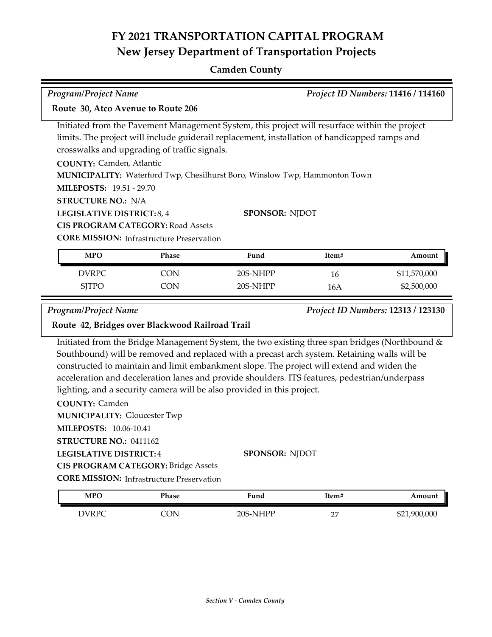### **Camden County**

| Program/Project Name                                                                                                                                                                                                                                                                                                                                                                                                                                                                   |                                                                                              |                                                                                                                                                                                                                                                                                                                                                                                              |       | Project ID Numbers: 11416 / 114160 |  |
|----------------------------------------------------------------------------------------------------------------------------------------------------------------------------------------------------------------------------------------------------------------------------------------------------------------------------------------------------------------------------------------------------------------------------------------------------------------------------------------|----------------------------------------------------------------------------------------------|----------------------------------------------------------------------------------------------------------------------------------------------------------------------------------------------------------------------------------------------------------------------------------------------------------------------------------------------------------------------------------------------|-------|------------------------------------|--|
| Route 30, Atco Avenue to Route 206                                                                                                                                                                                                                                                                                                                                                                                                                                                     |                                                                                              |                                                                                                                                                                                                                                                                                                                                                                                              |       |                                    |  |
| Initiated from the Pavement Management System, this project will resurface within the project<br>limits. The project will include guiderail replacement, installation of handicapped ramps and<br>crosswalks and upgrading of traffic signals.<br><b>COUNTY: Camden, Atlantic</b><br>MUNICIPALITY: Waterford Twp, Chesilhurst Boro, Winslow Twp, Hammonton Town<br><b>MILEPOSTS: 19.51 - 29.70</b><br><b>STRUCTURE NO.: N/A</b><br>LEGISLATIVE DISTRICT: 8, 4<br><b>SPONSOR: NJDOT</b> |                                                                                              |                                                                                                                                                                                                                                                                                                                                                                                              |       |                                    |  |
|                                                                                                                                                                                                                                                                                                                                                                                                                                                                                        | <b>CIS PROGRAM CATEGORY: Road Assets</b><br><b>CORE MISSION: Infrastructure Preservation</b> |                                                                                                                                                                                                                                                                                                                                                                                              |       |                                    |  |
| <b>MPO</b>                                                                                                                                                                                                                                                                                                                                                                                                                                                                             | Phase                                                                                        | Fund                                                                                                                                                                                                                                                                                                                                                                                         | Item# | Amount                             |  |
| <b>DVRPC</b>                                                                                                                                                                                                                                                                                                                                                                                                                                                                           | <b>CON</b>                                                                                   | 20S-NHPP                                                                                                                                                                                                                                                                                                                                                                                     | 16    | \$11,570,000                       |  |
| <b>SJTPO</b>                                                                                                                                                                                                                                                                                                                                                                                                                                                                           | <b>CON</b>                                                                                   | 20S-NHPP                                                                                                                                                                                                                                                                                                                                                                                     | 16A   | \$2,500,000                        |  |
| <b>Program/Project Name</b><br>Project ID Numbers: 12313 / 123130<br>Route 42, Bridges over Blackwood Railroad Trail                                                                                                                                                                                                                                                                                                                                                                   |                                                                                              |                                                                                                                                                                                                                                                                                                                                                                                              |       |                                    |  |
|                                                                                                                                                                                                                                                                                                                                                                                                                                                                                        |                                                                                              | Initiated from the Bridge Management System, the two existing three span bridges (Northbound &<br>Southbound) will be removed and replaced with a precast arch system. Retaining walls will be<br>constructed to maintain and limit embankment slope. The project will extend and widen the<br>acceleration and deceleration lanes and provide shoulders. ITS features, pedestrian/underpass |       |                                    |  |

lighting, and a security camera will be also provided in this project.

**COUNTY:** Camden **LEGISLATIVE DISTRICT:** 4 **MILEPOSTS:** 10.06-10.41 **STRUCTURE NO.:** 0411162 **MUNICIPALITY: Gloucester Twp CORE MISSION: Infrastructure Preservation SPONSOR:** NJDOT **CIS PROGRAM CATEGORY:** Bridge Assets

| <b>MPO</b>   | Phase | Fund     | Item#              | Amount       |
|--------------|-------|----------|--------------------|--------------|
| <b>DVRPC</b> | NC.   | 20S-NHPP | $\sim$<br><u>.</u> | \$21,900,000 |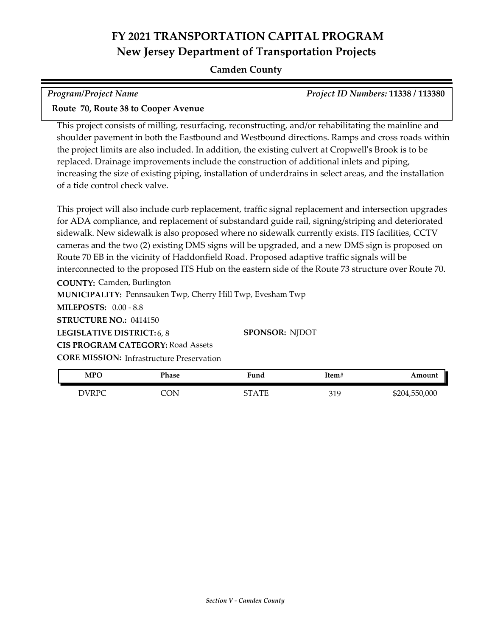#### **Camden County**

| <b>Program/Project Name</b>                                                                                                                                                                                                                                                                            | <i>Project ID Numbers: 11338 / 113380</i> |
|--------------------------------------------------------------------------------------------------------------------------------------------------------------------------------------------------------------------------------------------------------------------------------------------------------|-------------------------------------------|
| $\mathbf{D}$ and $\mathbf{E}$ $\mathbf{D}$ and $\mathbf{D}$ and $\mathbf{D}$ and $\mathbf{D}$ and $\mathbf{D}$ and $\mathbf{D}$ and $\mathbf{D}$ and $\mathbf{D}$ and $\mathbf{D}$ and $\mathbf{D}$ and $\mathbf{D}$ and $\mathbf{D}$ and $\mathbf{D}$ and $\mathbf{D}$ and $\mathbf{D}$ and $\mathbf$ |                                           |

# **Route 70, Route 38 to Cooper Avenue**

This project consists of milling, resurfacing, reconstructing, and/or rehabilitating the mainline and shoulder pavement in both the Eastbound and Westbound directions. Ramps and cross roads within the project limits are also included. In addition, the existing culvert at Cropwell's Brook is to be replaced. Drainage improvements include the construction of additional inlets and piping, increasing the size of existing piping, installation of underdrains in select areas, and the installation of a tide control check valve.

This project will also include curb replacement, traffic signal replacement and intersection upgrades for ADA compliance, and replacement of substandard guide rail, signing/striping and deteriorated sidewalk. New sidewalk is also proposed where no sidewalk currently exists. ITS facilities, CCTV cameras and the two (2) existing DMS signs will be upgraded, and a new DMS sign is proposed on Route 70 EB in the vicinity of Haddonfield Road. Proposed adaptive traffic signals will be interconnected to the proposed ITS Hub on the eastern side of the Route 73 structure over Route 70.

**COUNTY:** Camden, Burlington

**MUNICIPALITY: Pennsauken Twp, Cherry Hill Twp, Evesham Twp** 

**MILEPOSTS:** 0.00 - 8.8

**STRUCTURE NO.:** 0414150

**LEGISLATIVE DISTRICT:** 6, 8

**CORE MISSION:** Infrastructure Preservation **CIS PROGRAM CATEGORY:** Road Assets

**SPONSOR:** NJDOT

| <b>MPO</b> | Phase | Fund  | ltem# | Amount        |
|------------|-------|-------|-------|---------------|
| DVRPC      | ΩN    | STATE | 319   | \$204,550,000 |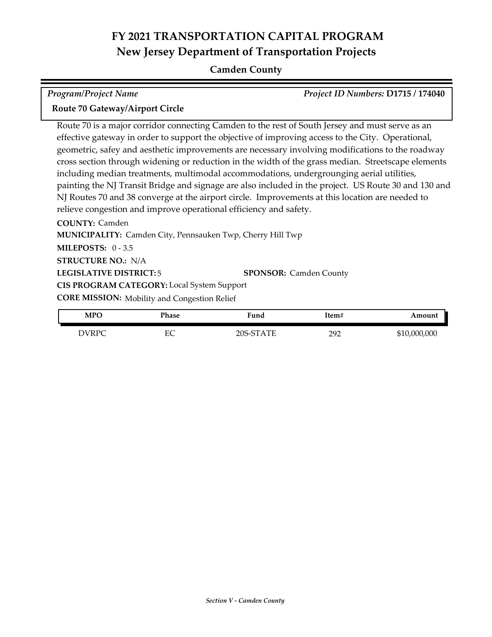### **Camden County**

| <b>Program/Project Name</b>                                                                          | Project ID Numbers: D1715 / 174040 |
|------------------------------------------------------------------------------------------------------|------------------------------------|
| Route 70 Gateway/Airport Circle                                                                      |                                    |
| Route 70 is a major corridor connecting Camden to the rest of South Jersey and must serve as an      |                                    |
| effective gateway in order to support the objective of improving access to the City. Operational,    |                                    |
| geometric, safey and aesthetic improvements are necessary involving modifications to the roadway     |                                    |
| cross section through widening or reduction in the width of the grass median. Streetscape elements   |                                    |
| including median treatments, multimodal accommodations, undergrounging aerial utilities,             |                                    |
| painting the NJ Transit Bridge and signage are also included in the project. US Route 30 and 130 and |                                    |
| NJ Routes 70 and 38 converge at the airport circle. Improvements at this location are needed to      |                                    |
| relieve congestion and improve operational efficiency and safety.                                    |                                    |
| <b>COUNTY: Camden</b>                                                                                |                                    |
| <b>MUNICIPALITY:</b> Camden City Pennsauken Twp Cherry Hill Twp                                      |                                    |

**LEGISLATIVE DISTRICT:** 5 **MILEPOSTS:** 0 - 3.5 **STRUCTURE NO.:** N/A **MUNICIPALITY: Camden City, Pennsauken Twp, Cherry Hill Twp CORE MISSION:** Mobility and Congestion Relief **SPONSOR:** Camden County **CIS PROGRAM CATEGORY:** Local System Support

| <b>MPO</b>   | Phase                   | 'iund     | ltem#    | Amount       |
|--------------|-------------------------|-----------|----------|--------------|
| <b>NIRPO</b> | г $\cap$<br>∽<br>$\sim$ | 20S-STATE | 292<br>- | \$10,000,000 |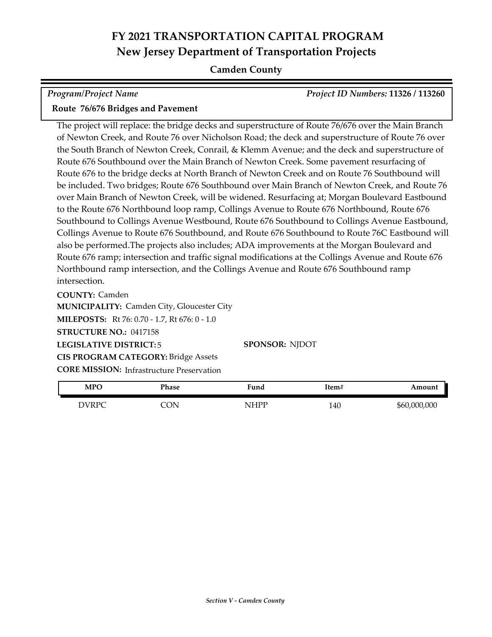### **Camden County**

| <b>Program/Project Name</b>       | <b>Project ID Numbers: 11326 / 113260</b> |
|-----------------------------------|-------------------------------------------|
| Route 76/676 Bridges and Pavement |                                           |

The project will replace: the bridge decks and superstructure of Route 76/676 over the Main Branch of Newton Creek, and Route 76 over Nicholson Road; the deck and superstructure of Route 76 over the South Branch of Newton Creek, Conrail, & Klemm Avenue; and the deck and superstructure of Route 676 Southbound over the Main Branch of Newton Creek. Some pavement resurfacing of Route 676 to the bridge decks at North Branch of Newton Creek and on Route 76 Southbound will be included. Two bridges; Route 676 Southbound over Main Branch of Newton Creek, and Route 76 over Main Branch of Newton Creek, will be widened. Resurfacing at; Morgan Boulevard Eastbound to the Route 676 Northbound loop ramp, Collings Avenue to Route 676 Northbound, Route 676 Southbound to Collings Avenue Westbound, Route 676 Southbound to Collings Avenue Eastbound, Collings Avenue to Route 676 Southbound, and Route 676 Southbound to Route 76C Eastbound will also be performed.The projects also includes; ADA improvements at the Morgan Boulevard and Route 676 ramp; intersection and traffic signal modifications at the Collings Avenue and Route 676 Northbound ramp intersection, and the Collings Avenue and Route 676 Southbound ramp intersection.

**COUNTY:** Camden **LEGISLATIVE DISTRICT:** 5 **MILEPOSTS:** Rt 76: 0.70 - 1.7, Rt 676: 0 - 1.0 **STRUCTURE NO.:** 0417158 **MUNICIPALITY: Camden City, Gloucester City CORE MISSION: Infrastructure Preservation SPONSOR:** NJDOT **CIS PROGRAM CATEGORY:** Bridge Assets

| <b>MPO</b> | Phase | Fund | Item# | Amount       |
|------------|-------|------|-------|--------------|
| DVRPC      | CON   | NHPP | 140   | \$60,000,000 |